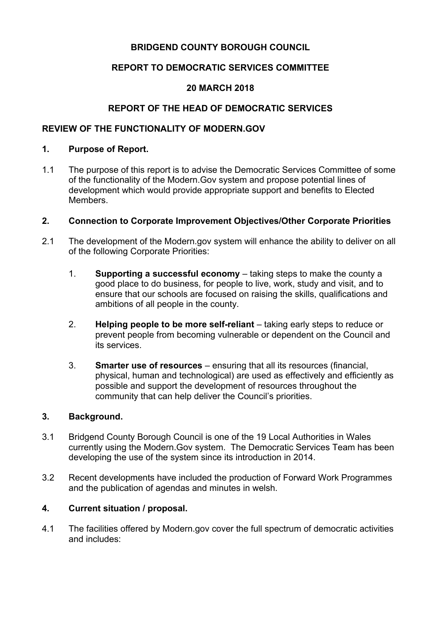## **BRIDGEND COUNTY BOROUGH COUNCIL**

## **REPORT TO DEMOCRATIC SERVICES COMMITTEE**

## **20 MARCH 2018**

# **REPORT OF THE HEAD OF DEMOCRATIC SERVICES**

## **REVIEW OF THE FUNCTIONALITY OF MODERN.GOV**

### **1. Purpose of Report.**

1.1 The purpose of this report is to advise the Democratic Services Committee of some of the functionality of the Modern.Gov system and propose potential lines of development which would provide appropriate support and benefits to Elected Members.

### **2. Connection to Corporate Improvement Objectives/Other Corporate Priorities**

- 2.1 The development of the Modern.gov system will enhance the ability to deliver on all of the following Corporate Priorities:
	- 1. **Supporting a successful economy** taking steps to make the county a good place to do business, for people to live, work, study and visit, and to ensure that our schools are focused on raising the skills, qualifications and ambitions of all people in the county.
	- 2. **Helping people to be more self-reliant** taking early steps to reduce or prevent people from becoming vulnerable or dependent on the Council and its services.
	- 3. **Smarter use of resources** ensuring that all its resources (financial, physical, human and technological) are used as effectively and efficiently as possible and support the development of resources throughout the community that can help deliver the Council's priorities.

### **3. Background.**

- 3.1 Bridgend County Borough Council is one of the 19 Local Authorities in Wales currently using the Modern.Gov system. The Democratic Services Team has been developing the use of the system since its introduction in 2014.
- 3.2 Recent developments have included the production of Forward Work Programmes and the publication of agendas and minutes in welsh.

### **4. Current situation / proposal.**

4.1 The facilities offered by Modern.gov cover the full spectrum of democratic activities and includes: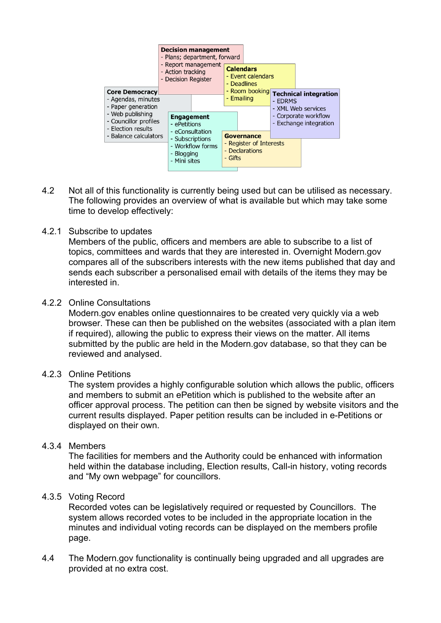

- 4.2 Not all of this functionality is currently being used but can be utilised as necessary. The following provides an overview of what is available but which may take some time to develop effectively:
- 4.2.1 Subscribe to updates

Members of the public, officers and members are able to subscribe to a list of topics, committees and wards that they are interested in. Overnight Modern.gov compares all of the subscribers interests with the new items published that day and sends each subscriber a personalised email with details of the items they may be interested in.

4.2.2 Online Consultations

Modern.gov enables online questionnaires to be created very quickly via a web browser. These can then be published on the websites (associated with a plan item if required), allowing the public to express their views on the matter. All items submitted by the public are held in the Modern.gov database, so that they can be reviewed and analysed.

#### 4.2.3 Online Petitions

The system provides a highly configurable solution which allows the public, officers and members to submit an ePetition which is published to the website after an officer approval process. The petition can then be signed by website visitors and the current results displayed. Paper petition results can be included in e-Petitions or displayed on their own.

### 4.3.4 Members

The facilities for members and the Authority could be enhanced with information held within the database including, Election results, Call-in history, voting records and "My own webpage" for councillors.

### 4.3.5 Voting Record

Recorded votes can be legislatively required or requested by Councillors. The system allows recorded votes to be included in the appropriate location in the minutes and individual voting records can be displayed on the members profile page.

4.4 The Modern.gov functionality is continually being upgraded and all upgrades are provided at no extra cost.